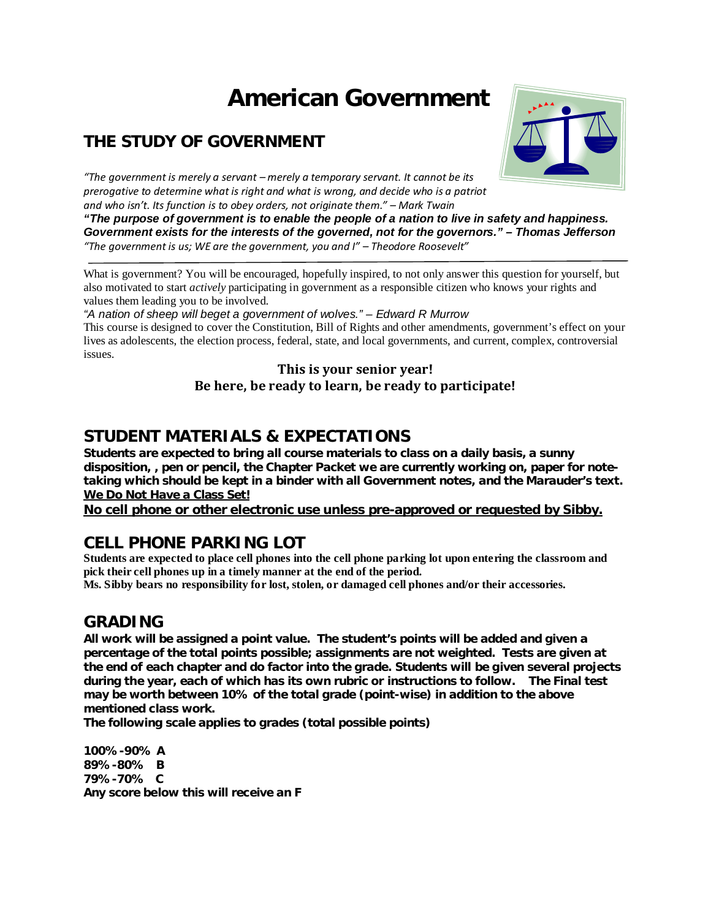# **American Government**

## **THE STUDY OF GOVERNMENT**



*"The government is merely a servant – merely a temporary servant. It cannot be its prerogative to determine what is right and what is wrong, and decide who is a patriot and who isn't. Its function is to obey orders, not originate them." – Mark Twain*

*"The purpose of government is to enable the people of a nation to live in safety and happiness. Government exists for the interests of the governed, not for the governors." – Thomas Jefferson "The government is us; WE are the government, you and I" – Theodore Roosevelt"*

What is government? You will be encouraged, hopefully inspired, to not only answer this question for yourself, but also motivated to start *actively* participating in government as a responsible citizen who knows your rights and values them leading you to be involved.

*"A nation of sheep will beget a government of wolves." – Edward R Murrow*

This course is designed to cover the Constitution, Bill of Rights and other amendments, government's effect on your lives as adolescents, the election process, federal, state, and local governments, and current, complex, controversial issues.

#### **This is your senior year! Be here, be ready to learn, be ready to participate!**

## **STUDENT MATERIALS & EXPECTATIONS**

**Students are expected to bring all course materials to class on a daily basis, a sunny disposition, , pen or pencil, the Chapter Packet we are currently working on, paper for notetaking which should be kept in a binder with all Government notes, and the Marauder's text. We Do Not Have a Class Set!** 

**No cell phone or other electronic use unless pre-approved or requested by Sibby.**

## **CELL PHONE PARKING LOT**

**Students are expected to place cell phones into the cell phone parking lot upon entering the classroom and pick their cell phones up in a timely manner at the end of the period.** 

**Ms. Sibby bears no responsibility for lost, stolen, or damaged cell phones and/or their accessories.** 

## **GRADING**

**All work will be assigned a point value. The student's points will be added and given a percentage of the total points possible; assignments are not weighted. Tests are given at the end of each chapter and do factor into the grade. Students will be given several projects during the year, each of which has its own rubric or instructions to follow. The Final test may be worth between 10% of the total grade (point-wise) in addition to the above mentioned class work.**

**The following scale applies to grades (total possible points)** 

**100%-90% A 89%-80% B 79%-70% C Any score below this will receive an F**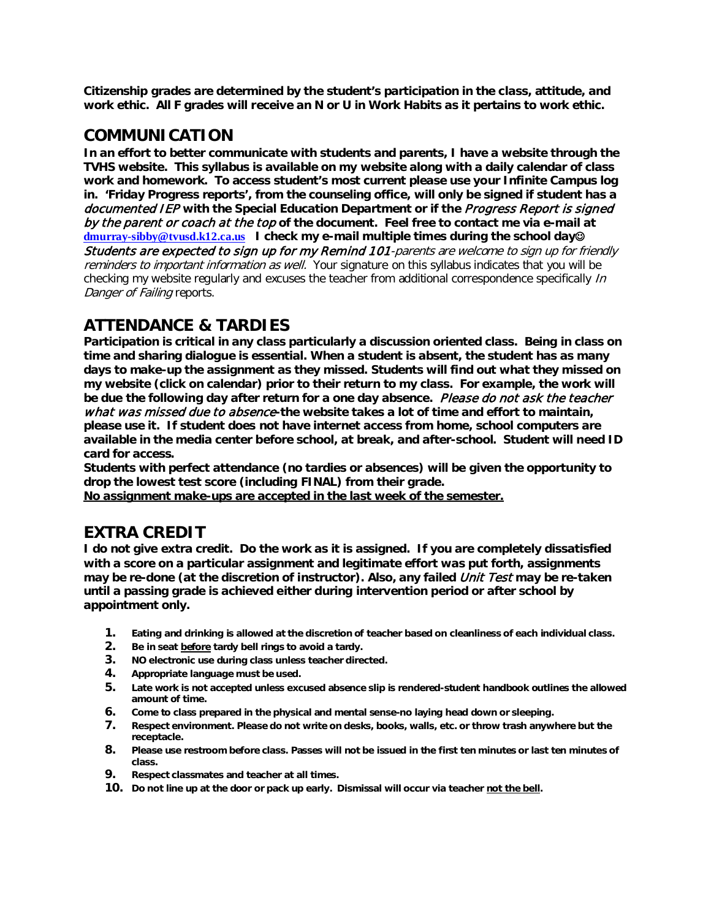**Citizenship grades are determined by the student's participation in the class, attitude, and work ethic. All F grades will receive an N or U in Work Habits as it pertains to work ethic.**

#### **COMMUNICATION**

**In an effort to better communicate with students and parents, I have a website through the TVHS website. This syllabus is available on my website along with a daily calendar of class work and homework. To access student's most current please use your Infinite Campus log in. 'Friday Progress reports', from the counseling office, will only be signed if student has a**  documented IEP **with the Special Education Department or if the** Progress Report is signed by the parent or coach at the top **of the document. Feel free to contact me via e-mail at [dmurray-sibby@tvusd.k12.ca.us](mailto:dmurray-sibby@tvusd.k12.ca.us) I check my e-mail multiple times during the school day** Students are expected to sign up for my Remind 101-parents are welcome to sign up for friendly reminders to important information as well. Your signature on this syllabus indicates that you will be checking my website regularly and excuses the teacher from additional correspondence specifically  $\ln$ Danger of Failing reports.

## **ATTENDANCE & TARDIES**

**Participation is critical in any class particularly a discussion oriented class. Being in class on time and sharing dialogue is essential. When a student is absent, the student has as many days to make-up the assignment as they missed. Students will find out what they missed on my website (click on calendar) prior to their return to my class. For example, the work will be due the following day after return for a one day absence.** Please do not ask the teacher what was missed due to absence**-the website takes a lot of time and effort to maintain, please use it. If student does not have internet access from home, school computers are available in the media center before school, at break, and after-school. Student will need ID card for access.** 

**Students with perfect attendance (no tardies or absences) will be given the opportunity to drop the lowest test score (including FINAL) from their grade.** 

**No assignment make-ups are accepted in the last week of the semester.** 

## **EXTRA CREDIT**

**I do not give extra credit. Do the work as it is assigned. If you are completely dissatisfied with a score on a particular assignment and legitimate effort was put forth, assignments may be re-done (at the discretion of instructor). Also, any failed** Unit Test **may be re-taken until a passing grade is achieved either during intervention period or after school by appointment only.** 

- **1. Eating and drinking is allowed at the discretion of teacher based on cleanliness of each individual class.**
- **2. Be in seat before tardy bell rings to avoid a tardy.**
- **3. NO electronic use during class unless teacher directed.**
- **4. Appropriate language must be used.**
- **5. Late work is not accepted unless excused absence slip is rendered-student handbook outlines the allowed amount of time.**
- **6. Come to class prepared in the physical and mental sense-no laying head down or sleeping.**
- **7. Respect environment. Please do not write on desks, books, walls, etc. or throw trash anywhere but the receptacle.**
- **8. Please use restroom before class. Passes will not be issued in the first ten minutes or last ten minutes of class.**
- **9. Respect classmates and teacher at all times.**
- **10. Do not line up at the door or pack up early. Dismissal will occur via teacher not the bell.**